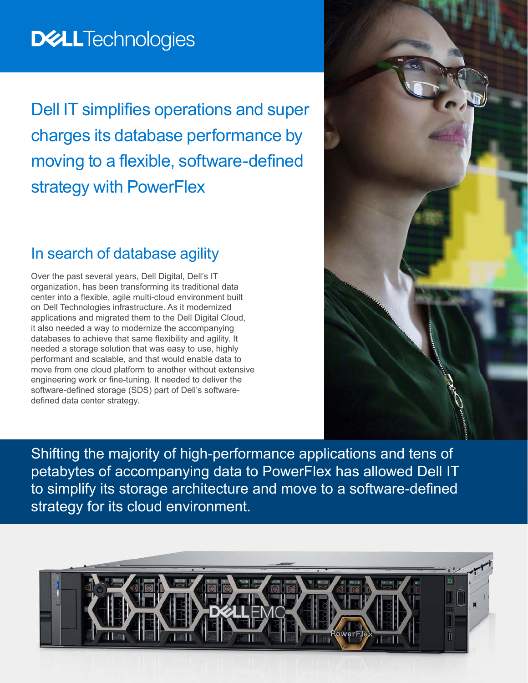# **DELLTechnologies**

Dell IT simplifies operations and super charges its database performance by moving to a flexible, software-defined strategy with PowerFlex

#### In search of database agility

Over the past several years, Dell Digital, Dell's IT organization, has been transforming its traditional data center into a flexible, agile multi-cloud environment built on Dell Technologies infrastructure. As it modernized applications and migrated them to the Dell Digital Cloud, it also needed a way to modernize the accompanying databases to achieve that same flexibility and agility. It needed a storage solution that was easy to use, highly performant and scalable, and that would enable data to move from one cloud platform to another without extensive engineering work or fine-tuning. It needed to deliver the software-defined storage (SDS) part of Dell's softwaredefined data center strategy.

Shifting the majority of high-performance applications and tens of petabytes of accompanying data to PowerFlex has allowed Dell IT to simplify its storage architecture and move to a software-defined strategy for its cloud environment.